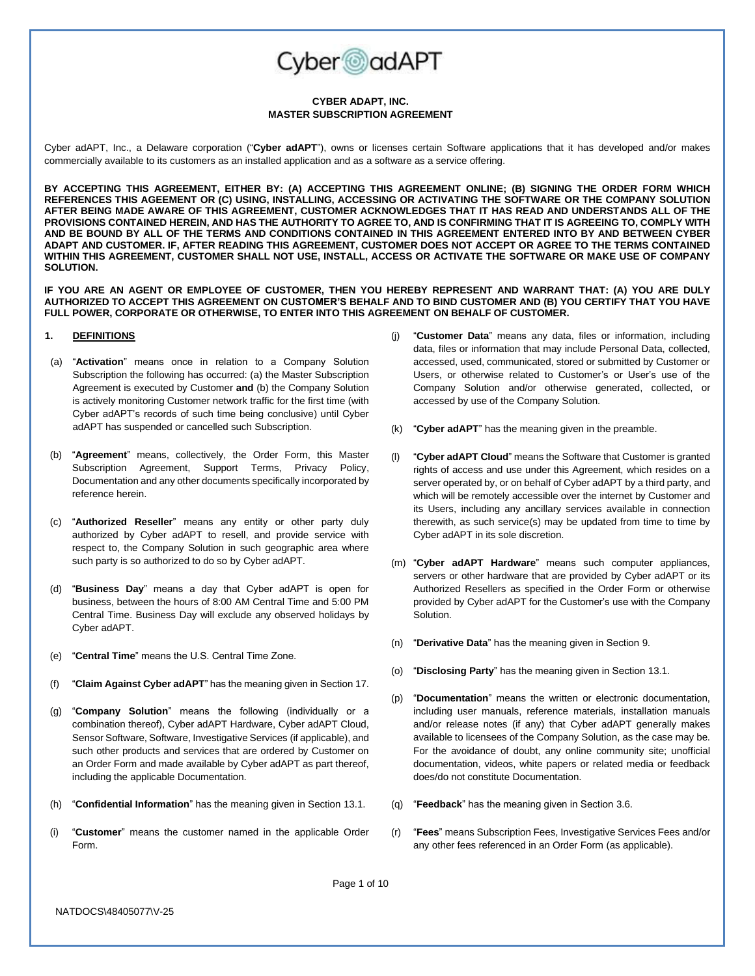

### **CYBER ADAPT, INC. MASTER SUBSCRIPTION AGREEMENT**

Cyber adAPT, Inc., a Delaware corporation ("**Cyber adAPT**"), owns or licenses certain Software applications that it has developed and/or makes commercially available to its customers as an installed application and as a software as a service offering.

**BY ACCEPTING THIS AGREEMENT, EITHER BY: (A) ACCEPTING THIS AGREEMENT ONLINE; (B) SIGNING THE ORDER FORM WHICH REFERENCES THIS AGEEMENT OR (C) USING, INSTALLING, ACCESSING OR ACTIVATING THE SOFTWARE OR THE COMPANY SOLUTION AFTER BEING MADE AWARE OF THIS AGREEMENT, CUSTOMER ACKNOWLEDGES THAT IT HAS READ AND UNDERSTANDS ALL OF THE PROVISIONS CONTAINED HEREIN, AND HAS THE AUTHORITY TO AGREE TO, AND IS CONFIRMING THAT IT IS AGREEING TO, COMPLY WITH AND BE BOUND BY ALL OF THE TERMS AND CONDITIONS CONTAINED IN THIS AGREEMENT ENTERED INTO BY AND BETWEEN CYBER ADAPT AND CUSTOMER. IF, AFTER READING THIS AGREEMENT, CUSTOMER DOES NOT ACCEPT OR AGREE TO THE TERMS CONTAINED WITHIN THIS AGREEMENT, CUSTOMER SHALL NOT USE, INSTALL, ACCESS OR ACTIVATE THE SOFTWARE OR MAKE USE OF COMPANY SOLUTION.**

**IF YOU ARE AN AGENT OR EMPLOYEE OF CUSTOMER, THEN YOU HEREBY REPRESENT AND WARRANT THAT: (A) YOU ARE DULY AUTHORIZED TO ACCEPT THIS AGREEMENT ON CUSTOMER'S BEHALF AND TO BIND CUSTOMER AND (B) YOU CERTIFY THAT YOU HAVE FULL POWER, CORPORATE OR OTHERWISE, TO ENTER INTO THIS AGREEMENT ON BEHALF OF CUSTOMER.**

## <span id="page-0-0"></span>**1. DEFINITIONS**

- (a) "**Activation**" means once in relation to a Company Solution Subscription the following has occurred: (a) the Master Subscription Agreement is executed by Customer **and** (b) the Company Solution is actively monitoring Customer network traffic for the first time (with Cyber adAPT's records of such time being conclusive) until Cyber adAPT has suspended or cancelled such Subscription.
- (b) "**Agreement**" means, collectively, the Order Form, this Master Subscription Agreement, Support Terms, Privacy Policy, Documentation and any other documents specifically incorporated by reference herein.
- (c) "**Authorized Reseller**" means any entity or other party duly authorized by Cyber adAPT to resell, and provide service with respect to, the Company Solution in such geographic area where such party is so authorized to do so by Cyber adAPT.
- (d) "**Business Day**" means a day that Cyber adAPT is open for business, between the hours of 8:00 AM Central Time and 5:00 PM Central Time. Business Day will exclude any observed holidays by Cyber adAPT.
- (e) "**Central Time**" means the U.S. Central Time Zone.
- (f) "**Claim Against Cyber adAPT**" has the meaning given in Sectio[n 17.](#page-7-0)
- (g) "**Company Solution**" means the following (individually or a combination thereof), Cyber adAPT Hardware, Cyber adAPT Cloud, Sensor Software, Software, Investigative Services (if applicable), and such other products and services that are ordered by Customer on an Order Form and made available by Cyber adAPT as part thereof, including the applicable Documentation.
- (h) "**Confidential Information**" has the meaning given in Sectio[n 13.1.](#page-5-0)
- (i) "**Customer**" means the customer named in the applicable Order Form.
- (j) "**Customer Data**" means any data, files or information, including data, files or information that may include Personal Data, collected, accessed, used, communicated, stored or submitted by Customer or Users, or otherwise related to Customer's or User's use of the Company Solution and/or otherwise generated, collected, or accessed by use of the Company Solution.
- (k) "**Cyber adAPT**" has the meaning given in the preamble.
- (l) "**Cyber adAPT Cloud**" means the Software that Customer is granted rights of access and use under this Agreement, which resides on a server operated by, or on behalf of Cyber adAPT by a third party, and which will be remotely accessible over the internet by Customer and its Users, including any ancillary services available in connection therewith, as such service(s) may be updated from time to time by Cyber adAPT in its sole discretion.
- (m) "**Cyber adAPT Hardware**" means such computer appliances, servers or other hardware that are provided by Cyber adAPT or its Authorized Resellers as specified in the Order Form or otherwise provided by Cyber adAPT for the Customer's use with the Company Solution.
- (n) "**Derivative Data**" has the meaning given in Sectio[n 9.](#page-4-0)
- (o) "**Disclosing Party**" has the meaning given in Sectio[n 13.1.](#page-5-0)
- (p) "**Documentation**" means the written or electronic documentation, including user manuals, reference materials, installation manuals and/or release notes (if any) that Cyber adAPT generally makes available to licensees of the Company Solution, as the case may be. For the avoidance of doubt, any online community site; unofficial documentation, videos, white papers or related media or feedback does/do not constitute Documentation.
- (q) "**Feedback**" has the meaning given in Section [3.6.](#page-3-0)
- (r) "**Fees**" means Subscription Fees, Investigative Services Fees and/or any other fees referenced in an Order Form (as applicable).

Page 1 of 10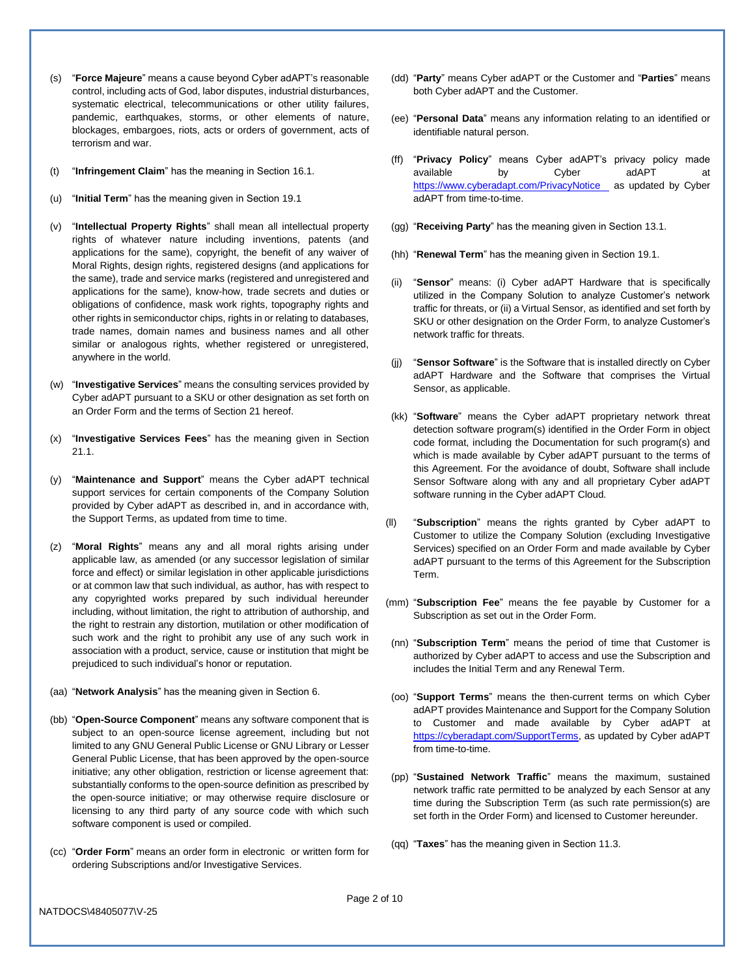- (s) "**Force Majeure**" means a cause beyond Cyber adAPT's reasonable control, including acts of God, labor disputes, industrial disturbances, systematic electrical, telecommunications or other utility failures, pandemic, earthquakes, storms, or other elements of nature, blockages, embargoes, riots, acts or orders of government, acts of terrorism and war.
- (t) "**Infringement Claim**" has the meaning in Sectio[n 16.1.](#page-6-0)
- (u) "**Initial Term**" has the meaning given in Section [19.1](#page-7-1)
- (v) "**Intellectual Property Rights**" shall mean all intellectual property rights of whatever nature including inventions, patents (and applications for the same), copyright, the benefit of any waiver of Moral Rights, design rights, registered designs (and applications for the same), trade and service marks (registered and unregistered and applications for the same), know-how, trade secrets and duties or obligations of confidence, mask work rights, topography rights and other rights in semiconductor chips, rights in or relating to databases, trade names, domain names and business names and all other similar or analogous rights, whether registered or unregistered, anywhere in the world.
- (w) "**Investigative Services**" means the consulting services provided by Cyber adAPT pursuant to a SKU or other designation as set forth on an Order Form and the terms of Section [21](#page-8-0) hereof.
- (x) "**Investigative Services Fees**" has the meaning given in Section [21.1.](#page-8-1)
- (y) "**Maintenance and Support**" means the Cyber adAPT technical support services for certain components of the Company Solution provided by Cyber adAPT as described in, and in accordance with, the Support Terms, as updated from time to time.
- (z) "**Moral Rights**" means any and all moral rights arising under applicable law, as amended (or any successor legislation of similar force and effect) or similar legislation in other applicable jurisdictions or at common law that such individual, as author, has with respect to any copyrighted works prepared by such individual hereunder including, without limitation, the right to attribution of authorship, and the right to restrain any distortion, mutilation or other modification of such work and the right to prohibit any use of any such work in association with a product, service, cause or institution that might be prejudiced to such individual's honor or reputation.
- (aa) "**Network Analysis**" has the meaning given in Section [6.](#page-3-1)
- (bb) "**Open-Source Component**" means any software component that is subject to an open-source license agreement, including but not limited to any GNU General Public License or GNU Library or Lesser General Public License, that has been approved by the open-source initiative; any other obligation, restriction or license agreement that: substantially conforms to the open-source definition as prescribed by the open-source initiative; or may otherwise require disclosure or licensing to any third party of any source code with which such software component is used or compiled.
- (cc) "**Order Form**" means an order form in electronic or written form for ordering Subscriptions and/or Investigative Services.
- (dd) "**Party**" means Cyber adAPT or the Customer and "**Parties**" means both Cyber adAPT and the Customer.
- (ee) "**Personal Data**" means any information relating to an identified or identifiable natural person.
- (ff) "**Privacy Policy**" means Cyber adAPT's privacy policy made available by Cyber adAPT at [https://www.cyberadapt.com/PrivacyNotice](https://www.cyberadapt.com/contracts/CyberadAPT_PrivacyPolicy_202010.pdf) as updated by Cyber adAPT from time-to-time.
- (gg) "**Receiving Party**" has the meaning given in Section [13.1.](#page-5-0)
- (hh) "**Renewal Term**" has the meaning given in Sectio[n 19.1.](#page-7-1)
- "Sensor" means: (i) Cyber adAPT Hardware that is specifically utilized in the Company Solution to analyze Customer's network traffic for threats, or (ii) a Virtual Sensor, as identified and set forth by SKU or other designation on the Order Form, to analyze Customer's network traffic for threats.
- (jj) "**Sensor Software**" is the Software that is installed directly on Cyber adAPT Hardware and the Software that comprises the Virtual Sensor, as applicable.
- (kk) "**Software**" means the Cyber adAPT proprietary network threat detection software program(s) identified in the Order Form in object code format, including the Documentation for such program(s) and which is made available by Cyber adAPT pursuant to the terms of this Agreement. For the avoidance of doubt, Software shall include Sensor Software along with any and all proprietary Cyber adAPT software running in the Cyber adAPT Cloud.
- (ll) "**Subscription**" means the rights granted by Cyber adAPT to Customer to utilize the Company Solution (excluding Investigative Services) specified on an Order Form and made available by Cyber adAPT pursuant to the terms of this Agreement for the Subscription Term.
- (mm) "**Subscription Fee**" means the fee payable by Customer for a Subscription as set out in the Order Form.
- (nn) "**Subscription Term**" means the period of time that Customer is authorized by Cyber adAPT to access and use the Subscription and includes the Initial Term and any Renewal Term.
- (oo) "**Support Terms**" means the then-current terms on which Cyber adAPT provides Maintenance and Support for the Company Solution to Customer and made available by Cyber adAPT at [https://cyberadapt.com/SupportTerms,](https://www.cyberadapt.com/contracts/CyberadAPT_SupportTerms_2020210.pdf) as updated by Cyber adAPT from time-to-time.
- (pp) "**Sustained Network Traffic**" means the maximum, sustained network traffic rate permitted to be analyzed by each Sensor at any time during the Subscription Term (as such rate permission(s) are set forth in the Order Form) and licensed to Customer hereunder.
- (qq) "**Taxes**" has the meaning given in Sectio[n 11.3.](#page-5-1)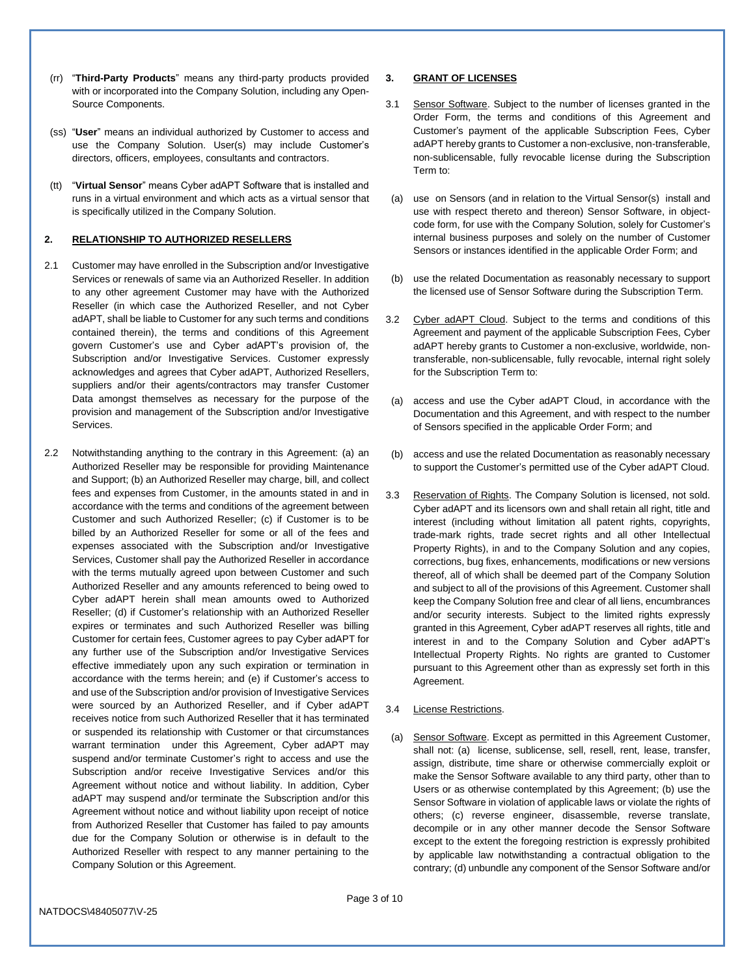- (rr) "**Third-Party Products**" means any third-party products provided with or incorporated into the Company Solution, including any Open-Source Components.
- (ss) "**User**" means an individual authorized by Customer to access and use the Company Solution. User(s) may include Customer's directors, officers, employees, consultants and contractors.
- (tt) "**Virtual Sensor**" means Cyber adAPT Software that is installed and runs in a virtual environment and which acts as a virtual sensor that is specifically utilized in the Company Solution.

#### <span id="page-2-0"></span>**2. RELATIONSHIP TO AUTHORIZED RESELLERS**

- 2.1 Customer may have enrolled in the Subscription and/or Investigative Services or renewals of same via an Authorized Reseller. In addition to any other agreement Customer may have with the Authorized Reseller (in which case the Authorized Reseller, and not Cyber adAPT, shall be liable to Customer for any such terms and conditions contained therein), the terms and conditions of this Agreement govern Customer's use and Cyber adAPT's provision of, the Subscription and/or Investigative Services. Customer expressly acknowledges and agrees that Cyber adAPT, Authorized Resellers, suppliers and/or their agents/contractors may transfer Customer Data amongst themselves as necessary for the purpose of the provision and management of the Subscription and/or Investigative Services.
- 2.2 Notwithstanding anything to the contrary in this Agreement: (a) an Authorized Reseller may be responsible for providing Maintenance and Support; (b) an Authorized Reseller may charge, bill, and collect fees and expenses from Customer, in the amounts stated in and in accordance with the terms and conditions of the agreement between Customer and such Authorized Reseller; (c) if Customer is to be billed by an Authorized Reseller for some or all of the fees and expenses associated with the Subscription and/or Investigative Services, Customer shall pay the Authorized Reseller in accordance with the terms mutually agreed upon between Customer and such Authorized Reseller and any amounts referenced to being owed to Cyber adAPT herein shall mean amounts owed to Authorized Reseller; (d) if Customer's relationship with an Authorized Reseller expires or terminates and such Authorized Reseller was billing Customer for certain fees, Customer agrees to pay Cyber adAPT for any further use of the Subscription and/or Investigative Services effective immediately upon any such expiration or termination in accordance with the terms herein; and (e) if Customer's access to and use of the Subscription and/or provision of Investigative Services were sourced by an Authorized Reseller, and if Cyber adAPT receives notice from such Authorized Reseller that it has terminated or suspended its relationship with Customer or that circumstances warrant termination under this Agreement, Cyber adAPT may suspend and/or terminate Customer's right to access and use the Subscription and/or receive Investigative Services and/or this Agreement without notice and without liability. In addition, Cyber adAPT may suspend and/or terminate the Subscription and/or this Agreement without notice and without liability upon receipt of notice from Authorized Reseller that Customer has failed to pay amounts due for the Company Solution or otherwise is in default to the Authorized Reseller with respect to any manner pertaining to the Company Solution or this Agreement.

### **3. GRANT OF LICENSES**

- 3.1 Sensor Software. Subject to the number of licenses granted in the Order Form, the terms and conditions of this Agreement and Customer's payment of the applicable Subscription Fees, Cyber adAPT hereby grants to Customer a non-exclusive, non-transferable, non-sublicensable, fully revocable license during the Subscription Term to:
- (a) use on Sensors (and in relation to the Virtual Sensor(s) install and use with respect thereto and thereon) Sensor Software, in objectcode form, for use with the Company Solution, solely for Customer's internal business purposes and solely on the number of Customer Sensors or instances identified in the applicable Order Form; and
- (b) use the related Documentation as reasonably necessary to support the licensed use of Sensor Software during the Subscription Term.
- 3.2 Cyber adAPT Cloud. Subject to the terms and conditions of this Agreement and payment of the applicable Subscription Fees, Cyber adAPT hereby grants to Customer a non-exclusive, worldwide, nontransferable, non-sublicensable, fully revocable, internal right solely for the Subscription Term to:
- (a) access and use the Cyber adAPT Cloud, in accordance with the Documentation and this Agreement, and with respect to the number of Sensors specified in the applicable Order Form; and
- (b) access and use the related Documentation as reasonably necessary to support the Customer's permitted use of the Cyber adAPT Cloud.
- 3.3 Reservation of Rights. The Company Solution is licensed, not sold. Cyber adAPT and its licensors own and shall retain all right, title and interest (including without limitation all patent rights, copyrights, trade-mark rights, trade secret rights and all other Intellectual Property Rights), in and to the Company Solution and any copies, corrections, bug fixes, enhancements, modifications or new versions thereof, all of which shall be deemed part of the Company Solution and subject to all of the provisions of this Agreement. Customer shall keep the Company Solution free and clear of all liens, encumbrances and/or security interests. Subject to the limited rights expressly granted in this Agreement, Cyber adAPT reserves all rights, title and interest in and to the Company Solution and Cyber adAPT's Intellectual Property Rights. No rights are granted to Customer pursuant to this Agreement other than as expressly set forth in this Agreement.

## 3.4 License Restrictions.

(a) Sensor Software. Except as permitted in this Agreement Customer, shall not: (a) license, sublicense, sell, resell, rent, lease, transfer, assign, distribute, time share or otherwise commercially exploit or make the Sensor Software available to any third party, other than to Users or as otherwise contemplated by this Agreement; (b) use the Sensor Software in violation of applicable laws or violate the rights of others; (c) reverse engineer, disassemble, reverse translate, decompile or in any other manner decode the Sensor Software except to the extent the foregoing restriction is expressly prohibited by applicable law notwithstanding a contractual obligation to the contrary; (d) unbundle any component of the Sensor Software and/or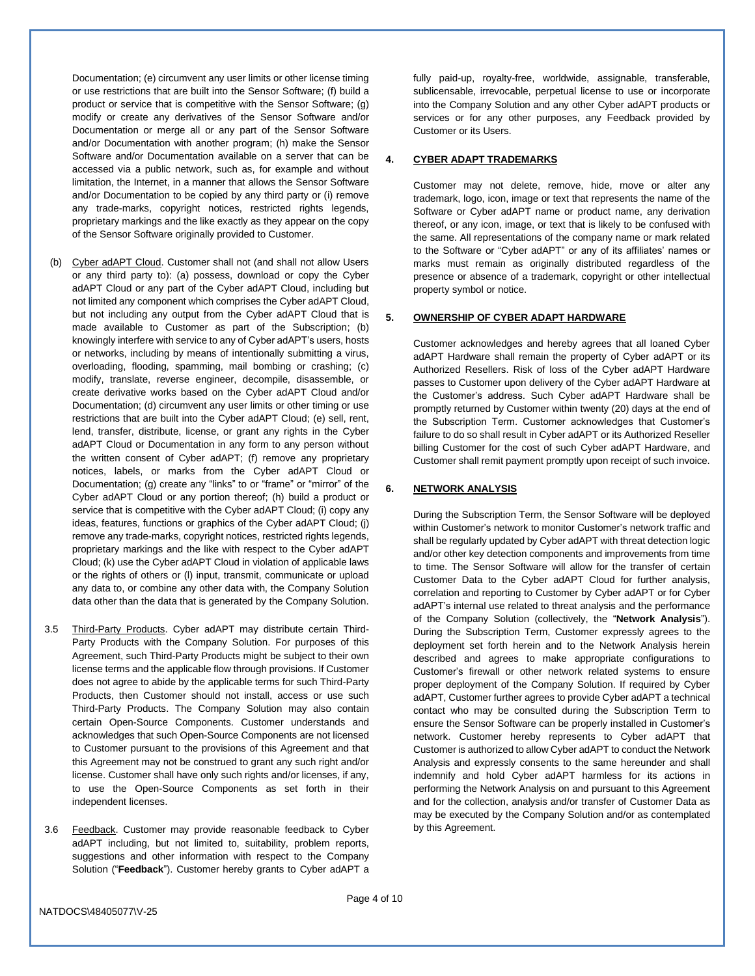Documentation; (e) circumvent any user limits or other license timing or use restrictions that are built into the Sensor Software; (f) build a product or service that is competitive with the Sensor Software; (g) modify or create any derivatives of the Sensor Software and/or Documentation or merge all or any part of the Sensor Software and/or Documentation with another program; (h) make the Sensor Software and/or Documentation available on a server that can be accessed via a public network, such as, for example and without limitation, the Internet, in a manner that allows the Sensor Software and/or Documentation to be copied by any third party or (i) remove any trade-marks, copyright notices, restricted rights legends, proprietary markings and the like exactly as they appear on the copy of the Sensor Software originally provided to Customer.

- (b) Cyber adAPT Cloud. Customer shall not (and shall not allow Users or any third party to): (a) possess, download or copy the Cyber adAPT Cloud or any part of the Cyber adAPT Cloud, including but not limited any component which comprises the Cyber adAPT Cloud, but not including any output from the Cyber adAPT Cloud that is made available to Customer as part of the Subscription; (b) knowingly interfere with service to any of Cyber adAPT's users, hosts or networks, including by means of intentionally submitting a virus, overloading, flooding, spamming, mail bombing or crashing; (c) modify, translate, reverse engineer, decompile, disassemble, or create derivative works based on the Cyber adAPT Cloud and/or Documentation; (d) circumvent any user limits or other timing or use restrictions that are built into the Cyber adAPT Cloud; (e) sell, rent, lend, transfer, distribute, license, or grant any rights in the Cyber adAPT Cloud or Documentation in any form to any person without the written consent of Cyber adAPT; (f) remove any proprietary notices, labels, or marks from the Cyber adAPT Cloud or Documentation; (g) create any "links" to or "frame" or "mirror" of the Cyber adAPT Cloud or any portion thereof; (h) build a product or service that is competitive with the Cyber adAPT Cloud; (i) copy any ideas, features, functions or graphics of the Cyber adAPT Cloud; (j) remove any trade-marks, copyright notices, restricted rights legends, proprietary markings and the like with respect to the Cyber adAPT Cloud; (k) use the Cyber adAPT Cloud in violation of applicable laws or the rights of others or (l) input, transmit, communicate or upload any data to, or combine any other data with, the Company Solution data other than the data that is generated by the Company Solution.
- 3.5 Third-Party Products. Cyber adAPT may distribute certain Third-Party Products with the Company Solution. For purposes of this Agreement, such Third-Party Products might be subject to their own license terms and the applicable flow through provisions. If Customer does not agree to abide by the applicable terms for such Third-Party Products, then Customer should not install, access or use such Third-Party Products. The Company Solution may also contain certain Open-Source Components. Customer understands and acknowledges that such Open-Source Components are not licensed to Customer pursuant to the provisions of this Agreement and that this Agreement may not be construed to grant any such right and/or license. Customer shall have only such rights and/or licenses, if any, to use the Open-Source Components as set forth in their independent licenses.
- <span id="page-3-0"></span>3.6 Feedback. Customer may provide reasonable feedback to Cyber adAPT including, but not limited to, suitability, problem reports, suggestions and other information with respect to the Company Solution ("**Feedback**"). Customer hereby grants to Cyber adAPT a

fully paid-up, royalty-free, worldwide, assignable, transferable, sublicensable, irrevocable, perpetual license to use or incorporate into the Company Solution and any other Cyber adAPT products or services or for any other purposes, any Feedback provided by Customer or its Users.

### **4. CYBER ADAPT TRADEMARKS**

Customer may not delete, remove, hide, move or alter any trademark, logo, icon, image or text that represents the name of the Software or Cyber adAPT name or product name, any derivation thereof, or any icon, image, or text that is likely to be confused with the same. All representations of the company name or mark related to the Software or "Cyber adAPT" or any of its affiliates' names or marks must remain as originally distributed regardless of the presence or absence of a trademark, copyright or other intellectual property symbol or notice.

## <span id="page-3-2"></span>**5. OWNERSHIP OF CYBER ADAPT HARDWARE**

Customer acknowledges and hereby agrees that all loaned Cyber adAPT Hardware shall remain the property of Cyber adAPT or its Authorized Resellers. Risk of loss of the Cyber adAPT Hardware passes to Customer upon delivery of the Cyber adAPT Hardware at the Customer's address. Such Cyber adAPT Hardware shall be promptly returned by Customer within twenty (20) days at the end of the Subscription Term. Customer acknowledges that Customer's failure to do so shall result in Cyber adAPT or its Authorized Reseller billing Customer for the cost of such Cyber adAPT Hardware, and Customer shall remit payment promptly upon receipt of such invoice.

#### <span id="page-3-1"></span>**6. NETWORK ANALYSIS**

During the Subscription Term, the Sensor Software will be deployed within Customer's network to monitor Customer's network traffic and shall be regularly updated by Cyber adAPT with threat detection logic and/or other key detection components and improvements from time to time. The Sensor Software will allow for the transfer of certain Customer Data to the Cyber adAPT Cloud for further analysis, correlation and reporting to Customer by Cyber adAPT or for Cyber adAPT's internal use related to threat analysis and the performance of the Company Solution (collectively, the "**Network Analysis**"). During the Subscription Term, Customer expressly agrees to the deployment set forth herein and to the Network Analysis herein described and agrees to make appropriate configurations to Customer's firewall or other network related systems to ensure proper deployment of the Company Solution. If required by Cyber adAPT, Customer further agrees to provide Cyber adAPT a technical contact who may be consulted during the Subscription Term to ensure the Sensor Software can be properly installed in Customer's network. Customer hereby represents to Cyber adAPT that Customer is authorized to allow Cyber adAPT to conduct the Network Analysis and expressly consents to the same hereunder and shall indemnify and hold Cyber adAPT harmless for its actions in performing the Network Analysis on and pursuant to this Agreement and for the collection, analysis and/or transfer of Customer Data as may be executed by the Company Solution and/or as contemplated by this Agreement.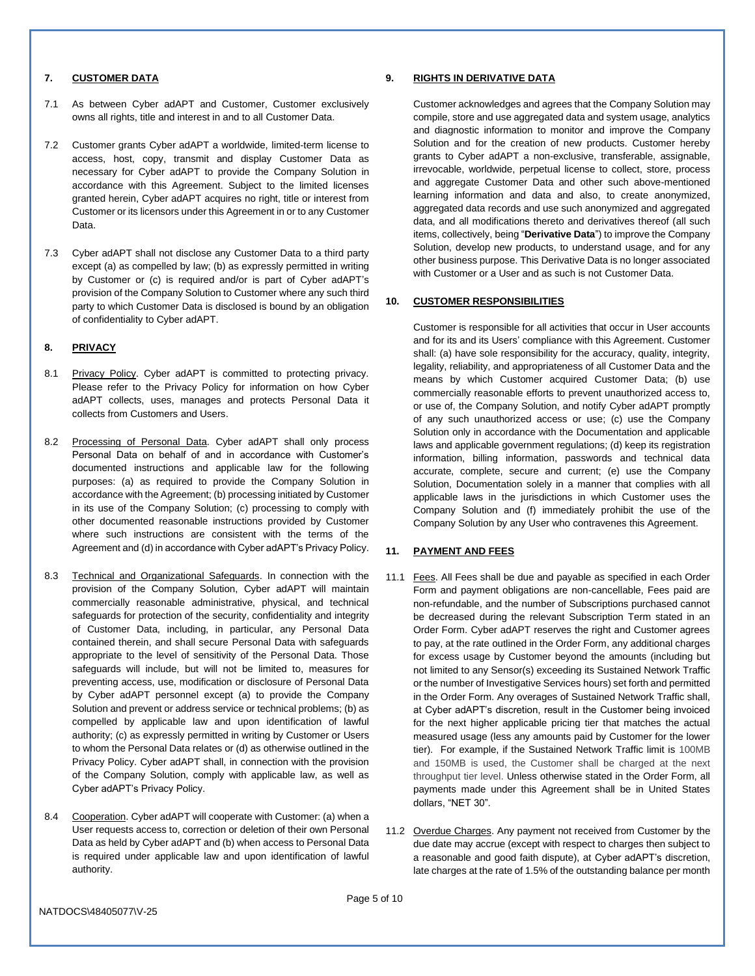#### **7. CUSTOMER DATA**

- 7.1 As between Cyber adAPT and Customer, Customer exclusively owns all rights, title and interest in and to all Customer Data.
- 7.2 Customer grants Cyber adAPT a worldwide, limited-term license to access, host, copy, transmit and display Customer Data as necessary for Cyber adAPT to provide the Company Solution in accordance with this Agreement. Subject to the limited licenses granted herein, Cyber adAPT acquires no right, title or interest from Customer or its licensors under this Agreement in or to any Customer Data.
- 7.3 Cyber adAPT shall not disclose any Customer Data to a third party except (a) as compelled by law; (b) as expressly permitted in writing by Customer or (c) is required and/or is part of Cyber adAPT's provision of the Company Solution to Customer where any such third party to which Customer Data is disclosed is bound by an obligation of confidentiality to Cyber adAPT.

## **8. PRIVACY**

- 8.1 Privacy Policy. Cyber adAPT is committed to protecting privacy. Please refer to the Privacy Policy for information on how Cyber adAPT collects, uses, manages and protects Personal Data it collects from Customers and Users.
- 8.2 Processing of Personal Data. Cyber adAPT shall only process Personal Data on behalf of and in accordance with Customer's documented instructions and applicable law for the following purposes: (a) as required to provide the Company Solution in accordance with the Agreement; (b) processing initiated by Customer in its use of the Company Solution; (c) processing to comply with other documented reasonable instructions provided by Customer where such instructions are consistent with the terms of the Agreement and (d) in accordance with Cyber adAPT's Privacy Policy.
- 8.3 Technical and Organizational Safeguards. In connection with the provision of the Company Solution, Cyber adAPT will maintain commercially reasonable administrative, physical, and technical safeguards for protection of the security, confidentiality and integrity of Customer Data, including, in particular, any Personal Data contained therein, and shall secure Personal Data with safeguards appropriate to the level of sensitivity of the Personal Data. Those safeguards will include, but will not be limited to, measures for preventing access, use, modification or disclosure of Personal Data by Cyber adAPT personnel except (a) to provide the Company Solution and prevent or address service or technical problems; (b) as compelled by applicable law and upon identification of lawful authority; (c) as expressly permitted in writing by Customer or Users to whom the Personal Data relates or (d) as otherwise outlined in the Privacy Policy. Cyber adAPT shall, in connection with the provision of the Company Solution, comply with applicable law, as well as Cyber adAPT's Privacy Policy.
- 8.4 Cooperation. Cyber adAPT will cooperate with Customer: (a) when a User requests access to, correction or deletion of their own Personal Data as held by Cyber adAPT and (b) when access to Personal Data is required under applicable law and upon identification of lawful authority.

#### <span id="page-4-0"></span>**9. RIGHTS IN DERIVATIVE DATA**

Customer acknowledges and agrees that the Company Solution may compile, store and use aggregated data and system usage, analytics and diagnostic information to monitor and improve the Company Solution and for the creation of new products. Customer hereby grants to Cyber adAPT a non-exclusive, transferable, assignable, irrevocable, worldwide, perpetual license to collect, store, process and aggregate Customer Data and other such above-mentioned learning information and data and also, to create anonymized, aggregated data records and use such anonymized and aggregated data, and all modifications thereto and derivatives thereof (all such items, collectively, being "**Derivative Data**") to improve the Company Solution, develop new products, to understand usage, and for any other business purpose. This Derivative Data is no longer associated with Customer or a User and as such is not Customer Data.

#### **10. CUSTOMER RESPONSIBILITIES**

Customer is responsible for all activities that occur in User accounts and for its and its Users' compliance with this Agreement. Customer shall: (a) have sole responsibility for the accuracy, quality, integrity, legality, reliability, and appropriateness of all Customer Data and the means by which Customer acquired Customer Data; (b) use commercially reasonable efforts to prevent unauthorized access to, or use of, the Company Solution, and notify Cyber adAPT promptly of any such unauthorized access or use; (c) use the Company Solution only in accordance with the Documentation and applicable laws and applicable government regulations; (d) keep its registration information, billing information, passwords and technical data accurate, complete, secure and current; (e) use the Company Solution, Documentation solely in a manner that complies with all applicable laws in the jurisdictions in which Customer uses the Company Solution and (f) immediately prohibit the use of the Company Solution by any User who contravenes this Agreement.

#### <span id="page-4-2"></span>**11. PAYMENT AND FEES**

- 11.1 Fees. All Fees shall be due and payable as specified in each Order Form and payment obligations are non-cancellable, Fees paid are non-refundable, and the number of Subscriptions purchased cannot be decreased during the relevant Subscription Term stated in an Order Form. Cyber adAPT reserves the right and Customer agrees to pay, at the rate outlined in the Order Form, any additional charges for excess usage by Customer beyond the amounts (including but not limited to any Sensor(s) exceeding its Sustained Network Traffic or the number of Investigative Services hours) set forth and permitted in the Order Form. Any overages of Sustained Network Traffic shall, at Cyber adAPT's discretion, result in the Customer being invoiced for the next higher applicable pricing tier that matches the actual measured usage (less any amounts paid by Customer for the lower tier). For example, if the Sustained Network Traffic limit is 100MB and 150MB is used, the Customer shall be charged at the next throughput tier level. Unless otherwise stated in the Order Form, all payments made under this Agreement shall be in United States dollars, "NET 30".
- <span id="page-4-1"></span>11.2 Overdue Charges. Any payment not received from Customer by the due date may accrue (except with respect to charges then subject to a reasonable and good faith dispute), at Cyber adAPT's discretion, late charges at the rate of 1.5% of the outstanding balance per month

NATDOCS\48405077\V-25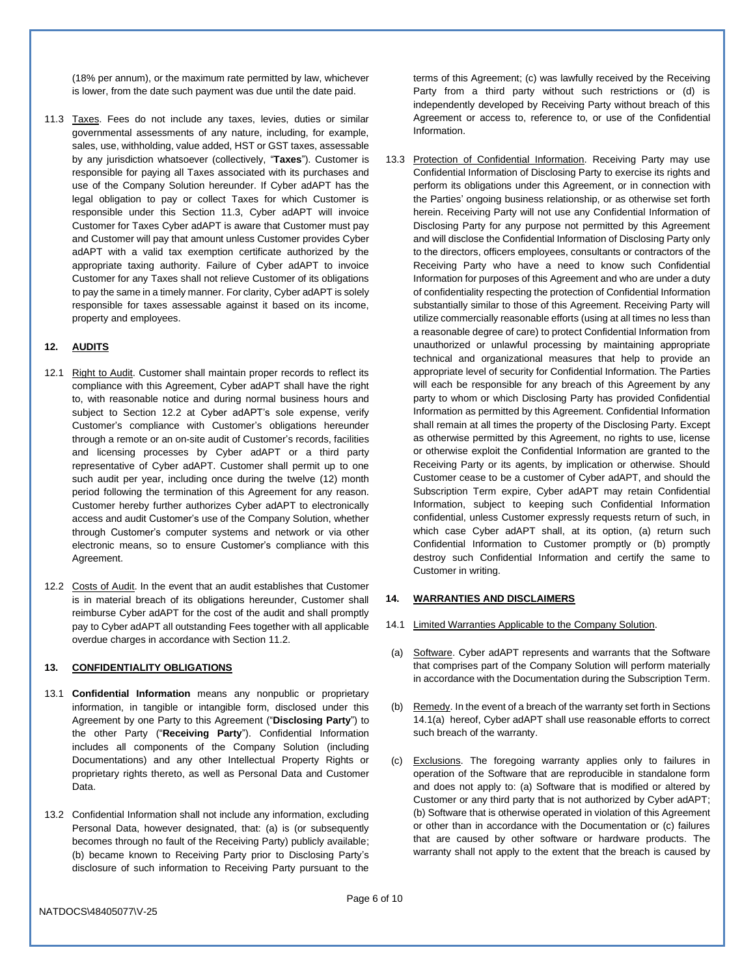(18% per annum), or the maximum rate permitted by law, whichever is lower, from the date such payment was due until the date paid.

<span id="page-5-1"></span>11.3 Taxes. Fees do not include any taxes, levies, duties or similar governmental assessments of any nature, including, for example, sales, use, withholding, value added, HST or GST taxes, assessable by any jurisdiction whatsoever (collectively, "**Taxes**"). Customer is responsible for paying all Taxes associated with its purchases and use of the Company Solution hereunder. If Cyber adAPT has the legal obligation to pay or collect Taxes for which Customer is responsible under this Section [11.3,](#page-5-1) Cyber adAPT will invoice Customer for Taxes Cyber adAPT is aware that Customer must pay and Customer will pay that amount unless Customer provides Cyber adAPT with a valid tax exemption certificate authorized by the appropriate taxing authority. Failure of Cyber adAPT to invoice Customer for any Taxes shall not relieve Customer of its obligations to pay the same in a timely manner. For clarity, Cyber adAPT is solely responsible for taxes assessable against it based on its income, property and employees.

# <span id="page-5-5"></span>**12. AUDITS**

- 12.1 Right to Audit. Customer shall maintain proper records to reflect its compliance with this Agreement, Cyber adAPT shall have the right to, with reasonable notice and during normal business hours and subject to Section [12.2](#page-5-2) at Cyber adAPT's sole expense, verify Customer's compliance with Customer's obligations hereunder through a remote or an on-site audit of Customer's records, facilities and licensing processes by Cyber adAPT or a third party representative of Cyber adAPT. Customer shall permit up to one such audit per year, including once during the twelve (12) month period following the termination of this Agreement for any reason. Customer hereby further authorizes Cyber adAPT to electronically access and audit Customer's use of the Company Solution, whether through Customer's computer systems and network or via other electronic means, so to ensure Customer's compliance with this Agreement.
- <span id="page-5-2"></span>12.2 Costs of Audit. In the event that an audit establishes that Customer is in material breach of its obligations hereunder, Customer shall reimburse Cyber adAPT for the cost of the audit and shall promptly pay to Cyber adAPT all outstanding Fees together with all applicable overdue charges in accordance with Sectio[n 11.2.](#page-4-1)

## <span id="page-5-6"></span>**13. CONFIDENTIALITY OBLIGATIONS**

- <span id="page-5-0"></span>13.1 **Confidential Information** means any nonpublic or proprietary information, in tangible or intangible form, disclosed under this Agreement by one Party to this Agreement ("**Disclosing Party**") to the other Party ("**Receiving Party**"). Confidential Information includes all components of the Company Solution (including Documentations) and any other Intellectual Property Rights or proprietary rights thereto, as well as Personal Data and Customer Data.
- 13.2 Confidential Information shall not include any information, excluding Personal Data, however designated, that: (a) is (or subsequently becomes through no fault of the Receiving Party) publicly available; (b) became known to Receiving Party prior to Disclosing Party's disclosure of such information to Receiving Party pursuant to the

terms of this Agreement; (c) was lawfully received by the Receiving Party from a third party without such restrictions or (d) is independently developed by Receiving Party without breach of this Agreement or access to, reference to, or use of the Confidential Information.

13.3 Protection of Confidential Information. Receiving Party may use Confidential Information of Disclosing Party to exercise its rights and perform its obligations under this Agreement, or in connection with the Parties' ongoing business relationship, or as otherwise set forth herein. Receiving Party will not use any Confidential Information of Disclosing Party for any purpose not permitted by this Agreement and will disclose the Confidential Information of Disclosing Party only to the directors, officers employees, consultants or contractors of the Receiving Party who have a need to know such Confidential Information for purposes of this Agreement and who are under a duty of confidentiality respecting the protection of Confidential Information substantially similar to those of this Agreement. Receiving Party will utilize commercially reasonable efforts (using at all times no less than a reasonable degree of care) to protect Confidential Information from unauthorized or unlawful processing by maintaining appropriate technical and organizational measures that help to provide an appropriate level of security for Confidential Information. The Parties will each be responsible for any breach of this Agreement by any party to whom or which Disclosing Party has provided Confidential Information as permitted by this Agreement. Confidential Information shall remain at all times the property of the Disclosing Party. Except as otherwise permitted by this Agreement, no rights to use, license or otherwise exploit the Confidential Information are granted to the Receiving Party or its agents, by implication or otherwise. Should Customer cease to be a customer of Cyber adAPT, and should the Subscription Term expire, Cyber adAPT may retain Confidential Information, subject to keeping such Confidential Information confidential, unless Customer expressly requests return of such, in which case Cyber adAPT shall, at its option, (a) return such Confidential Information to Customer promptly or (b) promptly destroy such Confidential Information and certify the same to Customer in writing.

#### **14. WARRANTIES AND DISCLAIMERS**

- 14.1 Limited Warranties Applicable to the Company Solution.
- <span id="page-5-3"></span>(a) Software. Cyber adAPT represents and warrants that the Software that comprises part of the Company Solution will perform materially in accordance with the Documentation during the Subscription Term.
- <span id="page-5-4"></span>(b) Remedy. In the event of a breach of the warranty set forth in Sections [14.1\(a\)](#page-5-3) hereof, Cyber adAPT shall use reasonable efforts to correct such breach of the warranty.
- (c) Exclusions. The foregoing warranty applies only to failures in operation of the Software that are reproducible in standalone form and does not apply to: (a) Software that is modified or altered by Customer or any third party that is not authorized by Cyber adAPT; (b) Software that is otherwise operated in violation of this Agreement or other than in accordance with the Documentation or (c) failures that are caused by other software or hardware products. The warranty shall not apply to the extent that the breach is caused by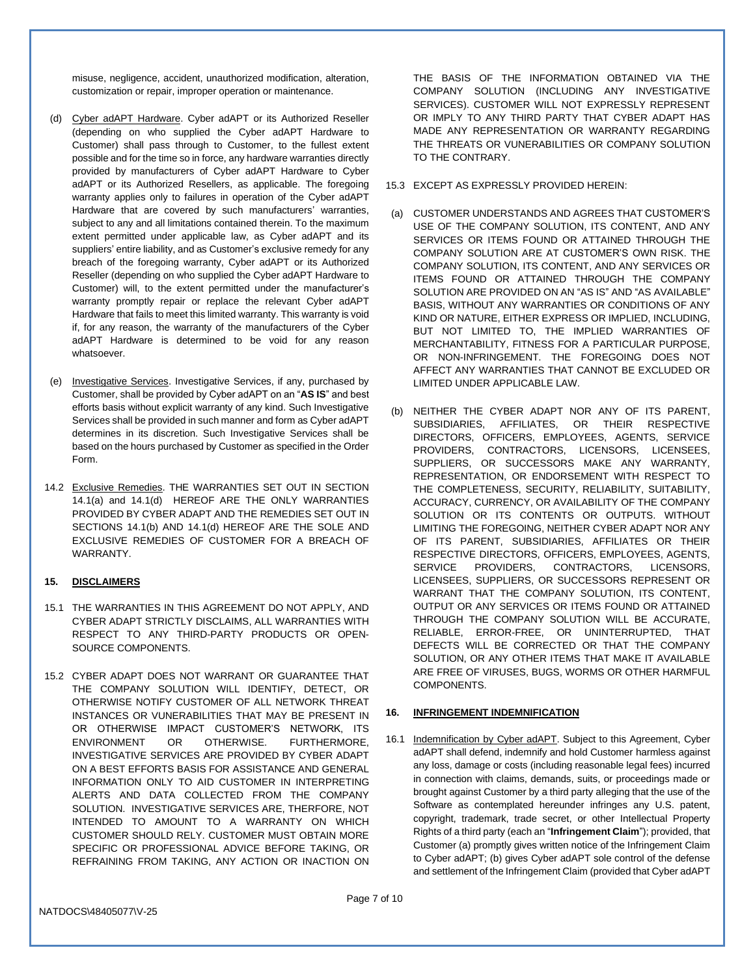misuse, negligence, accident, unauthorized modification, alteration, customization or repair, improper operation or maintenance.

- <span id="page-6-1"></span>(d) Cyber adAPT Hardware. Cyber adAPT or its Authorized Reseller (depending on who supplied the Cyber adAPT Hardware to Customer) shall pass through to Customer, to the fullest extent possible and for the time so in force, any hardware warranties directly provided by manufacturers of Cyber adAPT Hardware to Cyber adAPT or its Authorized Resellers, as applicable. The foregoing warranty applies only to failures in operation of the Cyber adAPT Hardware that are covered by such manufacturers' warranties, subject to any and all limitations contained therein. To the maximum extent permitted under applicable law, as Cyber adAPT and its suppliers' entire liability, and as Customer's exclusive remedy for any breach of the foregoing warranty, Cyber adAPT or its Authorized Reseller (depending on who supplied the Cyber adAPT Hardware to Customer) will, to the extent permitted under the manufacturer's warranty promptly repair or replace the relevant Cyber adAPT Hardware that fails to meet this limited warranty. This warranty is void if, for any reason, the warranty of the manufacturers of the Cyber adAPT Hardware is determined to be void for any reason whatsoever.
- (e) Investigative Services. Investigative Services, if any, purchased by Customer, shall be provided by Cyber adAPT on an "**AS IS**" and best efforts basis without explicit warranty of any kind. Such Investigative Services shall be provided in such manner and form as Cyber adAPT determines in its discretion. Such Investigative Services shall be based on the hours purchased by Customer as specified in the Order Form.
- 14.2 Exclusive Remedies. THE WARRANTIES SET OUT IN SECTION [14.1\(a\)](#page-5-3) and [14.1\(d\)](#page-6-1) HEREOF ARE THE ONLY WARRANTIES PROVIDED BY CYBER ADAPT AND THE REMEDIES SET OUT IN SECTIONS [14.1\(b\)](#page-5-4) AND [14.1\(d\)](#page-6-1) HEREOF ARE THE SOLE AND EXCLUSIVE REMEDIES OF CUSTOMER FOR A BREACH OF WARRANTY.

# <span id="page-6-3"></span>**15. DISCLAIMERS**

- 15.1 THE WARRANTIES IN THIS AGREEMENT DO NOT APPLY, AND CYBER ADAPT STRICTLY DISCLAIMS, ALL WARRANTIES WITH RESPECT TO ANY THIRD-PARTY PRODUCTS OR OPEN-SOURCE COMPONENTS.
- 15.2 CYBER ADAPT DOES NOT WARRANT OR GUARANTEE THAT THE COMPANY SOLUTION WILL IDENTIFY, DETECT, OR OTHERWISE NOTIFY CUSTOMER OF ALL NETWORK THREAT INSTANCES OR VUNERABILITIES THAT MAY BE PRESENT IN OR OTHERWISE IMPACT CUSTOMER'S NETWORK, ITS ENVIRONMENT OR OTHERWISE. FURTHERMORE, INVESTIGATIVE SERVICES ARE PROVIDED BY CYBER ADAPT ON A BEST EFFORTS BASIS FOR ASSISTANCE AND GENERAL INFORMATION ONLY TO AID CUSTOMER IN INTERPRETING ALERTS AND DATA COLLECTED FROM THE COMPANY SOLUTION. INVESTIGATIVE SERVICES ARE, THERFORE, NOT INTENDED TO AMOUNT TO A WARRANTY ON WHICH CUSTOMER SHOULD RELY. CUSTOMER MUST OBTAIN MORE SPECIFIC OR PROFESSIONAL ADVICE BEFORE TAKING, OR REFRAINING FROM TAKING, ANY ACTION OR INACTION ON

THE BASIS OF THE INFORMATION OBTAINED VIA THE COMPANY SOLUTION (INCLUDING ANY INVESTIGATIVE SERVICES). CUSTOMER WILL NOT EXPRESSLY REPRESENT OR IMPLY TO ANY THIRD PARTY THAT CYBER ADAPT HAS MADE ANY REPRESENTATION OR WARRANTY REGARDING THE THREATS OR VUNERABILITIES OR COMPANY SOLUTION TO THE CONTRARY.

- 15.3 EXCEPT AS EXPRESSLY PROVIDED HEREIN:
- (a) CUSTOMER UNDERSTANDS AND AGREES THAT CUSTOMER'S USE OF THE COMPANY SOLUTION, ITS CONTENT, AND ANY SERVICES OR ITEMS FOUND OR ATTAINED THROUGH THE COMPANY SOLUTION ARE AT CUSTOMER'S OWN RISK. THE COMPANY SOLUTION, ITS CONTENT, AND ANY SERVICES OR ITEMS FOUND OR ATTAINED THROUGH THE COMPANY SOLUTION ARE PROVIDED ON AN "AS IS" AND "AS AVAILABLE" BASIS, WITHOUT ANY WARRANTIES OR CONDITIONS OF ANY KIND OR NATURE, EITHER EXPRESS OR IMPLIED, INCLUDING, BUT NOT LIMITED TO, THE IMPLIED WARRANTIES OF MERCHANTABILITY, FITNESS FOR A PARTICULAR PURPOSE, OR NON-INFRINGEMENT. THE FOREGOING DOES NOT AFFECT ANY WARRANTIES THAT CANNOT BE EXCLUDED OR LIMITED UNDER APPLICABLE LAW.
- (b) NEITHER THE CYBER ADAPT NOR ANY OF ITS PARENT, SUBSIDIARIES, AFFILIATES, OR THEIR RESPECTIVE DIRECTORS, OFFICERS, EMPLOYEES, AGENTS, SERVICE PROVIDERS, CONTRACTORS, LICENSORS, LICENSEES, SUPPLIERS, OR SUCCESSORS MAKE ANY WARRANTY, REPRESENTATION, OR ENDORSEMENT WITH RESPECT TO THE COMPLETENESS, SECURITY, RELIABILITY, SUITABILITY, ACCURACY, CURRENCY, OR AVAILABILITY OF THE COMPANY SOLUTION OR ITS CONTENTS OR OUTPUTS. WITHOUT LIMITING THE FOREGOING, NEITHER CYBER ADAPT NOR ANY OF ITS PARENT, SUBSIDIARIES, AFFILIATES OR THEIR RESPECTIVE DIRECTORS, OFFICERS, EMPLOYEES, AGENTS, SERVICE PROVIDERS, CONTRACTORS, LICENSORS, LICENSEES, SUPPLIERS, OR SUCCESSORS REPRESENT OR WARRANT THAT THE COMPANY SOLUTION, ITS CONTENT, OUTPUT OR ANY SERVICES OR ITEMS FOUND OR ATTAINED THROUGH THE COMPANY SOLUTION WILL BE ACCURATE, RELIABLE, ERROR-FREE, OR UNINTERRUPTED, THAT DEFECTS WILL BE CORRECTED OR THAT THE COMPANY SOLUTION, OR ANY OTHER ITEMS THAT MAKE IT AVAILABLE ARE FREE OF VIRUSES, BUGS, WORMS OR OTHER HARMFUL COMPONENTS.

# <span id="page-6-2"></span>**16. INFRINGEMENT INDEMNIFICATION**

<span id="page-6-0"></span>16.1 Indemnification by Cyber adAPT. Subject to this Agreement, Cyber adAPT shall defend, indemnify and hold Customer harmless against any loss, damage or costs (including reasonable legal fees) incurred in connection with claims, demands, suits, or proceedings made or brought against Customer by a third party alleging that the use of the Software as contemplated hereunder infringes any U.S. patent, copyright, trademark, trade secret, or other Intellectual Property Rights of a third party (each an "**Infringement Claim**"); provided, that Customer (a) promptly gives written notice of the Infringement Claim to Cyber adAPT; (b) gives Cyber adAPT sole control of the defense and settlement of the Infringement Claim (provided that Cyber adAPT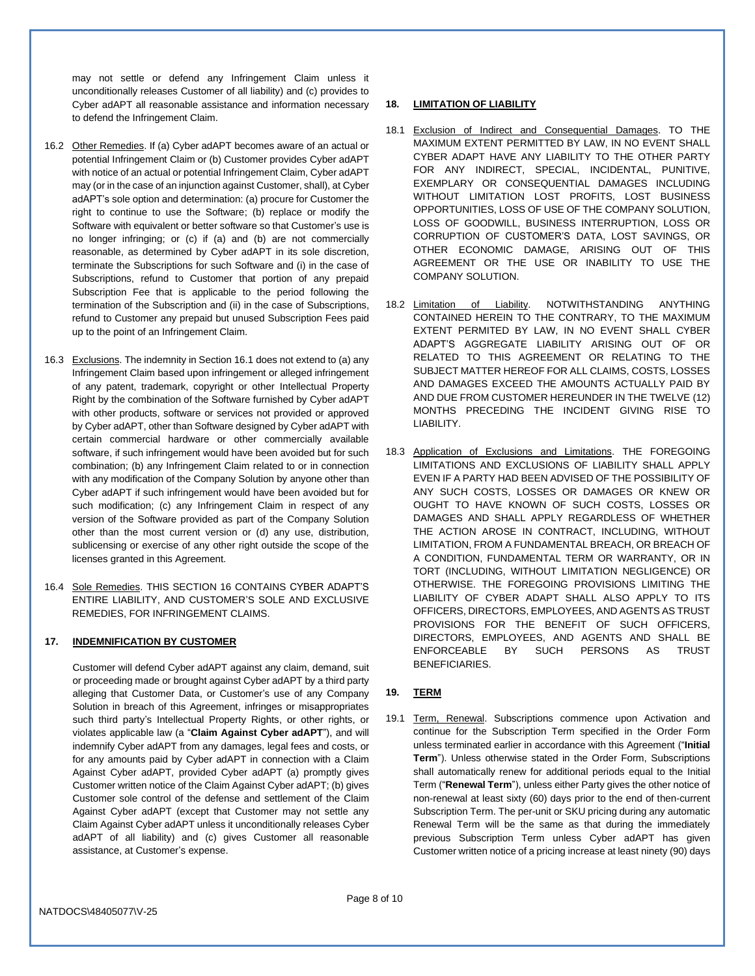may not settle or defend any Infringement Claim unless it unconditionally releases Customer of all liability) and (c) provides to Cyber adAPT all reasonable assistance and information necessary to defend the Infringement Claim.

- 16.2 Other Remedies. If (a) Cyber adAPT becomes aware of an actual or potential Infringement Claim or (b) Customer provides Cyber adAPT with notice of an actual or potential Infringement Claim, Cyber adAPT may (or in the case of an injunction against Customer, shall), at Cyber adAPT's sole option and determination: (a) procure for Customer the right to continue to use the Software; (b) replace or modify the Software with equivalent or better software so that Customer's use is no longer infringing; or (c) if (a) and (b) are not commercially reasonable, as determined by Cyber adAPT in its sole discretion, terminate the Subscriptions for such Software and (i) in the case of Subscriptions, refund to Customer that portion of any prepaid Subscription Fee that is applicable to the period following the termination of the Subscription and (ii) in the case of Subscriptions, refund to Customer any prepaid but unused Subscription Fees paid up to the point of an Infringement Claim.
- 16.3 Exclusions. The indemnity in Section [16.1](#page-6-0) does not extend to (a) any Infringement Claim based upon infringement or alleged infringement of any patent, trademark, copyright or other Intellectual Property Right by the combination of the Software furnished by Cyber adAPT with other products, software or services not provided or approved by Cyber adAPT, other than Software designed by Cyber adAPT with certain commercial hardware or other commercially available software, if such infringement would have been avoided but for such combination; (b) any Infringement Claim related to or in connection with any modification of the Company Solution by anyone other than Cyber adAPT if such infringement would have been avoided but for such modification; (c) any Infringement Claim in respect of any version of the Software provided as part of the Company Solution other than the most current version or (d) any use, distribution, sublicensing or exercise of any other right outside the scope of the licenses granted in this Agreement.
- 16.4 Sole Remedies. THIS SECTION [16](#page-6-2) CONTAINS CYBER ADAPT'S ENTIRE LIABILITY, AND CUSTOMER'S SOLE AND EXCLUSIVE REMEDIES, FOR INFRINGEMENT CLAIMS.

## <span id="page-7-0"></span>**17. INDEMNIFICATION BY CUSTOMER**

Customer will defend Cyber adAPT against any claim, demand, suit or proceeding made or brought against Cyber adAPT by a third party alleging that Customer Data, or Customer's use of any Company Solution in breach of this Agreement, infringes or misappropriates such third party's Intellectual Property Rights, or other rights, or violates applicable law (a "**Claim Against Cyber adAPT**"), and will indemnify Cyber adAPT from any damages, legal fees and costs, or for any amounts paid by Cyber adAPT in connection with a Claim Against Cyber adAPT, provided Cyber adAPT (a) promptly gives Customer written notice of the Claim Against Cyber adAPT; (b) gives Customer sole control of the defense and settlement of the Claim Against Cyber adAPT (except that Customer may not settle any Claim Against Cyber adAPT unless it unconditionally releases Cyber adAPT of all liability) and (c) gives Customer all reasonable assistance, at Customer's expense.

# <span id="page-7-2"></span>**18. LIMITATION OF LIABILITY**

- 18.1 Exclusion of Indirect and Consequential Damages. TO THE MAXIMUM EXTENT PERMITTED BY LAW, IN NO EVENT SHALL CYBER ADAPT HAVE ANY LIABILITY TO THE OTHER PARTY FOR ANY INDIRECT, SPECIAL, INCIDENTAL, PUNITIVE, EXEMPLARY OR CONSEQUENTIAL DAMAGES INCLUDING WITHOUT LIMITATION LOST PROFITS, LOST BUSINESS OPPORTUNITIES, LOSS OF USE OF THE COMPANY SOLUTION, LOSS OF GOODWILL, BUSINESS INTERRUPTION, LOSS OR CORRUPTION OF CUSTOMER'S DATA, LOST SAVINGS, OR OTHER ECONOMIC DAMAGE, ARISING OUT OF THIS AGREEMENT OR THE USE OR INABILITY TO USE THE COMPANY SOLUTION.
- 18.2 Limitation of Liability. NOTWITHSTANDING ANYTHING CONTAINED HEREIN TO THE CONTRARY, TO THE MAXIMUM EXTENT PERMITED BY LAW, IN NO EVENT SHALL CYBER ADAPT'S AGGREGATE LIABILITY ARISING OUT OF OR RELATED TO THIS AGREEMENT OR RELATING TO THE SUBJECT MATTER HEREOF FOR ALL CLAIMS, COSTS, LOSSES AND DAMAGES EXCEED THE AMOUNTS ACTUALLY PAID BY AND DUE FROM CUSTOMER HEREUNDER IN THE TWELVE (12) MONTHS PRECEDING THE INCIDENT GIVING RISE TO LIABILITY.
- 18.3 Application of Exclusions and Limitations. THE FOREGOING LIMITATIONS AND EXCLUSIONS OF LIABILITY SHALL APPLY EVEN IF A PARTY HAD BEEN ADVISED OF THE POSSIBILITY OF ANY SUCH COSTS, LOSSES OR DAMAGES OR KNEW OR OUGHT TO HAVE KNOWN OF SUCH COSTS, LOSSES OR DAMAGES AND SHALL APPLY REGARDLESS OF WHETHER THE ACTION AROSE IN CONTRACT, INCLUDING, WITHOUT LIMITATION, FROM A FUNDAMENTAL BREACH, OR BREACH OF A CONDITION, FUNDAMENTAL TERM OR WARRANTY, OR IN TORT (INCLUDING, WITHOUT LIMITATION NEGLIGENCE) OR OTHERWISE. THE FOREGOING PROVISIONS LIMITING THE LIABILITY OF CYBER ADAPT SHALL ALSO APPLY TO ITS OFFICERS, DIRECTORS, EMPLOYEES, AND AGENTS AS TRUST PROVISIONS FOR THE BENEFIT OF SUCH OFFICERS, DIRECTORS, EMPLOYEES, AND AGENTS AND SHALL BE ENFORCEABLE BY SUCH PERSONS AS TRUST BENEFICIARIES.

# <span id="page-7-3"></span>**19. TERM**

<span id="page-7-1"></span>19.1 Term, Renewal. Subscriptions commence upon Activation and continue for the Subscription Term specified in the Order Form unless terminated earlier in accordance with this Agreement ("**Initial Term**"). Unless otherwise stated in the Order Form, Subscriptions shall automatically renew for additional periods equal to the Initial Term ("**Renewal Term**"), unless either Party gives the other notice of non-renewal at least sixty (60) days prior to the end of then-current Subscription Term. The per-unit or SKU pricing during any automatic Renewal Term will be the same as that during the immediately previous Subscription Term unless Cyber adAPT has given Customer written notice of a pricing increase at least ninety (90) days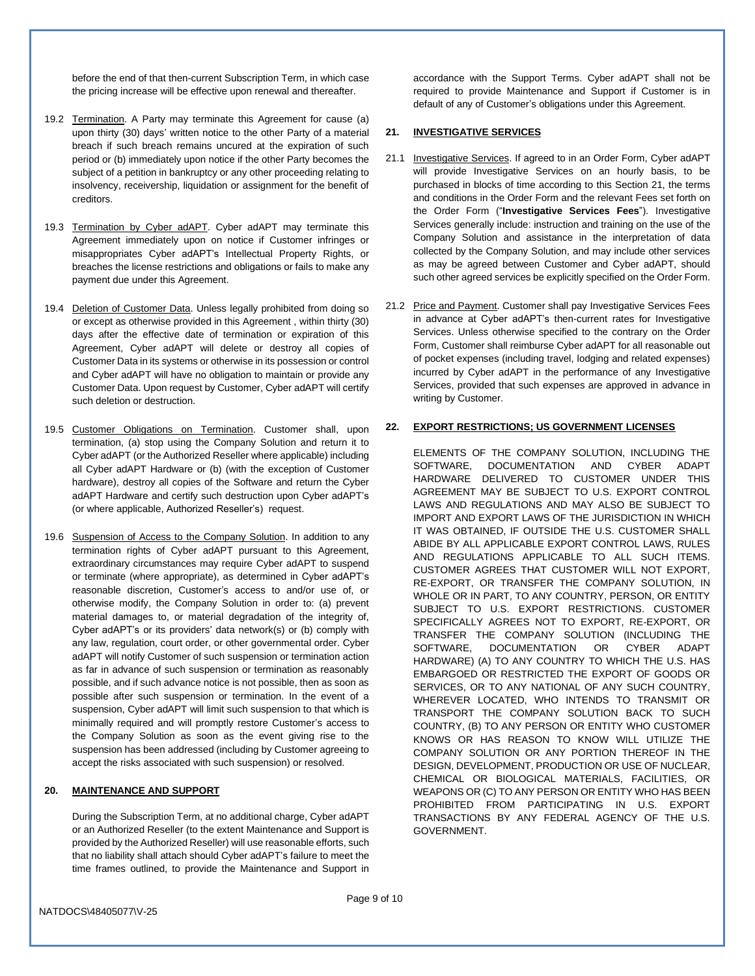before the end of that then-current Subscription Term, in which case the pricing increase will be effective upon renewal and thereafter.

- 19.2 Termination. A Party may terminate this Agreement for cause (a) upon thirty (30) days' written notice to the other Party of a material breach if such breach remains uncured at the expiration of such period or (b) immediately upon notice if the other Party becomes the subject of a petition in bankruptcy or any other proceeding relating to insolvency, receivership, liquidation or assignment for the benefit of creditors.
- 19.3 Termination by Cyber adAPT. Cyber adAPT may terminate this Agreement immediately upon on notice if Customer infringes or misappropriates Cyber adAPT's Intellectual Property Rights, or breaches the license restrictions and obligations or fails to make any payment due under this Agreement.
- 19.4 Deletion of Customer Data. Unless legally prohibited from doing so or except as otherwise provided in this Agreement , within thirty (30) days after the effective date of termination or expiration of this Agreement, Cyber adAPT will delete or destroy all copies of Customer Data in its systems or otherwise in its possession or control and Cyber adAPT will have no obligation to maintain or provide any Customer Data. Upon request by Customer, Cyber adAPT will certify such deletion or destruction.
- 19.5 Customer Obligations on Termination. Customer shall, upon termination, (a) stop using the Company Solution and return it to Cyber adAPT (or the Authorized Reseller where applicable) including all Cyber adAPT Hardware or (b) (with the exception of Customer hardware), destroy all copies of the Software and return the Cyber adAPT Hardware and certify such destruction upon Cyber adAPT's (or where applicable, Authorized Reseller's) request.
- 19.6 Suspension of Access to the Company Solution. In addition to any termination rights of Cyber adAPT pursuant to this Agreement, extraordinary circumstances may require Cyber adAPT to suspend or terminate (where appropriate), as determined in Cyber adAPT's reasonable discretion, Customer's access to and/or use of, or otherwise modify, the Company Solution in order to: (a) prevent material damages to, or material degradation of the integrity of, Cyber adAPT's or its providers' data network(s) or (b) comply with any law, regulation, court order, or other governmental order. Cyber adAPT will notify Customer of such suspension or termination action as far in advance of such suspension or termination as reasonably possible, and if such advance notice is not possible, then as soon as possible after such suspension or termination. In the event of a suspension, Cyber adAPT will limit such suspension to that which is minimally required and will promptly restore Customer's access to the Company Solution as soon as the event giving rise to the suspension has been addressed (including by Customer agreeing to accept the risks associated with such suspension) or resolved.

## **20. MAINTENANCE AND SUPPORT**

During the Subscription Term, at no additional charge, Cyber adAPT or an Authorized Reseller (to the extent Maintenance and Support is provided by the Authorized Reseller) will use reasonable efforts, such that no liability shall attach should Cyber adAPT's failure to meet the time frames outlined, to provide the Maintenance and Support in

accordance with the Support Terms. Cyber adAPT shall not be required to provide Maintenance and Support if Customer is in default of any of Customer's obligations under this Agreement.

# <span id="page-8-0"></span>**21. INVESTIGATIVE SERVICES**

- <span id="page-8-1"></span>21.1 Investigative Services. If agreed to in an Order Form, Cyber adAPT will provide Investigative Services on an hourly basis, to be purchased in blocks of time according to this Section [21,](#page-8-0) the terms and conditions in the Order Form and the relevant Fees set forth on the Order Form ("**Investigative Services Fees**"). Investigative Services generally include: instruction and training on the use of the Company Solution and assistance in the interpretation of data collected by the Company Solution, and may include other services as may be agreed between Customer and Cyber adAPT, should such other agreed services be explicitly specified on the Order Form.
- 21.2 Price and Payment. Customer shall pay Investigative Services Fees in advance at Cyber adAPT's then-current rates for Investigative Services. Unless otherwise specified to the contrary on the Order Form, Customer shall reimburse Cyber adAPT for all reasonable out of pocket expenses (including travel, lodging and related expenses) incurred by Cyber adAPT in the performance of any Investigative Services, provided that such expenses are approved in advance in writing by Customer.

## <span id="page-8-2"></span>**22. EXPORT RESTRICTIONS; US GOVERNMENT LICENSES**

ELEMENTS OF THE COMPANY SOLUTION, INCLUDING THE SOFTWARE, DOCUMENTATION AND CYBER ADAPT HARDWARE DELIVERED TO CUSTOMER UNDER THIS AGREEMENT MAY BE SUBJECT TO U.S. EXPORT CONTROL LAWS AND REGULATIONS AND MAY ALSO BE SUBJECT TO IMPORT AND EXPORT LAWS OF THE JURISDICTION IN WHICH IT WAS OBTAINED, IF OUTSIDE THE U.S. CUSTOMER SHALL ABIDE BY ALL APPLICABLE EXPORT CONTROL LAWS, RULES AND REGULATIONS APPLICABLE TO ALL SUCH ITEMS. CUSTOMER AGREES THAT CUSTOMER WILL NOT EXPORT, RE-EXPORT, OR TRANSFER THE COMPANY SOLUTION, IN WHOLE OR IN PART, TO ANY COUNTRY, PERSON, OR ENTITY SUBJECT TO U.S. EXPORT RESTRICTIONS. CUSTOMER SPECIFICALLY AGREES NOT TO EXPORT, RE-EXPORT, OR TRANSFER THE COMPANY SOLUTION (INCLUDING THE SOFTWARE, DOCUMENTATION OR CYBER ADAPT HARDWARE) (A) TO ANY COUNTRY TO WHICH THE U.S. HAS EMBARGOED OR RESTRICTED THE EXPORT OF GOODS OR SERVICES, OR TO ANY NATIONAL OF ANY SUCH COUNTRY, WHEREVER LOCATED, WHO INTENDS TO TRANSMIT OR TRANSPORT THE COMPANY SOLUTION BACK TO SUCH COUNTRY, (B) TO ANY PERSON OR ENTITY WHO CUSTOMER KNOWS OR HAS REASON TO KNOW WILL UTILIZE THE COMPANY SOLUTION OR ANY PORTION THEREOF IN THE DESIGN, DEVELOPMENT, PRODUCTION OR USE OF NUCLEAR, CHEMICAL OR BIOLOGICAL MATERIALS, FACILITIES, OR WEAPONS OR (C) TO ANY PERSON OR ENTITY WHO HAS BEEN PROHIBITED FROM PARTICIPATING IN U.S. EXPORT TRANSACTIONS BY ANY FEDERAL AGENCY OF THE U.S. GOVERNMENT.